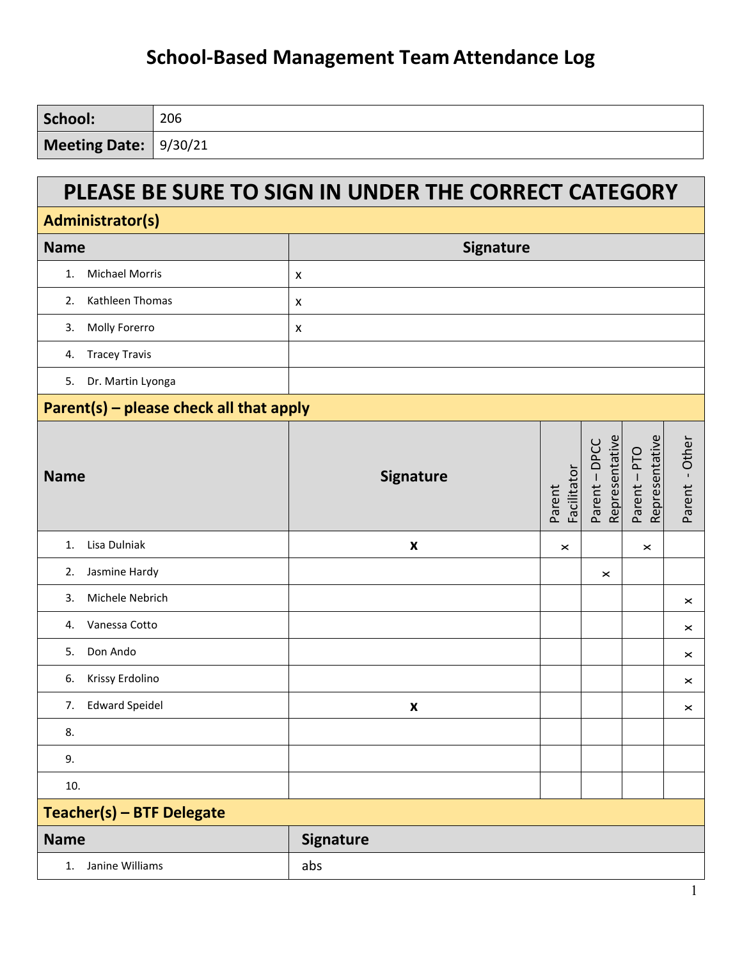| School:               | 206 |
|-----------------------|-----|
| Meeting Date: 9/30/21 |     |

#### **PLEASE BE SURE TO SIGN IN UNDER THE CORRECT CATEGORY**

| Administrator(s)                        |                    |                       |                                 |                              |                |  |
|-----------------------------------------|--------------------|-----------------------|---------------------------------|------------------------------|----------------|--|
| <b>Name</b>                             | <b>Signature</b>   |                       |                                 |                              |                |  |
| <b>Michael Morris</b><br>1.             | X                  |                       |                                 |                              |                |  |
| Kathleen Thomas<br>2.                   | X                  |                       |                                 |                              |                |  |
| Molly Forerro<br>3.                     | X                  |                       |                                 |                              |                |  |
| <b>Tracey Travis</b><br>4.              |                    |                       |                                 |                              |                |  |
| Dr. Martin Lyonga<br>5.                 |                    |                       |                                 |                              |                |  |
| Parent(s) - please check all that apply |                    |                       |                                 |                              |                |  |
| <b>Name</b>                             | Signature          | Facilitator<br>Parent | Representative<br>Parent - DPCC | Representative<br>Parent-PTO | Parent - Other |  |
| Lisa Dulniak<br>1.                      | $\pmb{\mathsf{x}}$ | ×                     |                                 | $\pmb{\times}$               |                |  |
| Jasmine Hardy<br>2.                     |                    |                       | $\boldsymbol{\times}$           |                              |                |  |
| Michele Nebrich<br>3.                   |                    |                       |                                 |                              | ×              |  |
| Vanessa Cotto<br>4.                     |                    |                       |                                 |                              | ×              |  |
| Don Ando<br>5.                          |                    |                       |                                 |                              | ×              |  |
| Krissy Erdolino<br>6.                   |                    |                       |                                 |                              | $\times$       |  |
| <b>Edward Speidel</b><br>7.             | $\pmb{\mathsf{x}}$ |                       |                                 |                              | $\times$       |  |
| 8.                                      |                    |                       |                                 |                              |                |  |
| 9.                                      |                    |                       |                                 |                              |                |  |
| 10.                                     |                    |                       |                                 |                              |                |  |
| Teacher(s) - BTF Delegate               |                    |                       |                                 |                              |                |  |
| <b>Name</b>                             | <b>Signature</b>   |                       |                                 |                              |                |  |
| Janine Williams<br>1.                   | abs                |                       |                                 |                              |                |  |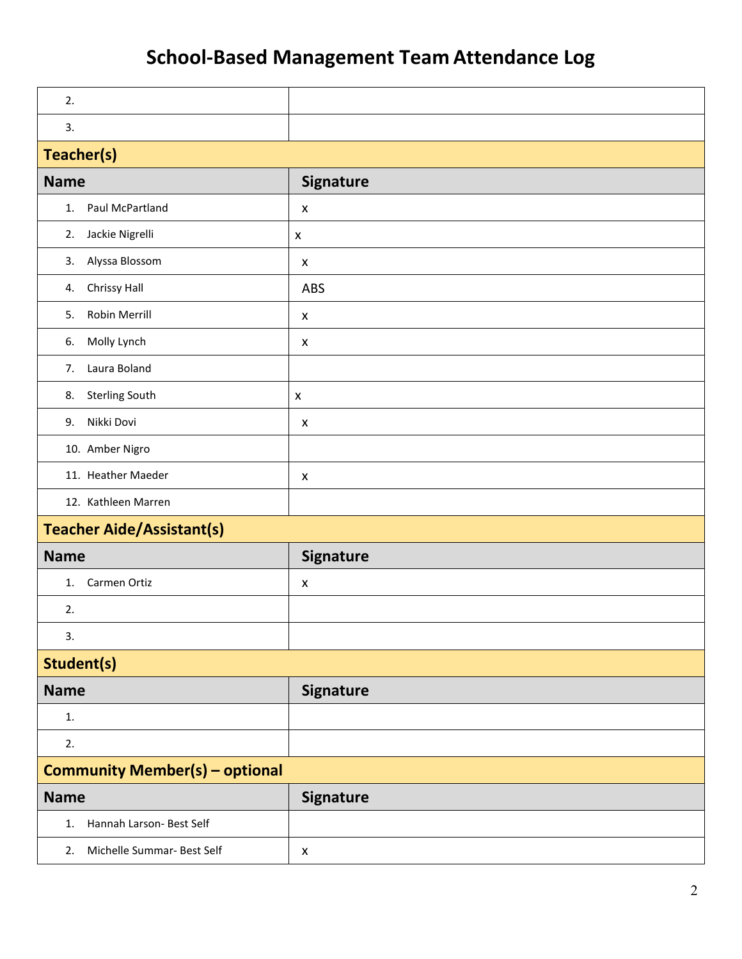| 2.                                    |                    |  |
|---------------------------------------|--------------------|--|
| 3.                                    |                    |  |
| Teacher(s)                            |                    |  |
| <b>Name</b>                           | <b>Signature</b>   |  |
| Paul McPartland<br>1.                 | $\pmb{\mathsf{x}}$ |  |
| Jackie Nigrelli<br>2.                 | $\pmb{\times}$     |  |
| Alyssa Blossom<br>3.                  | $\pmb{\mathsf{X}}$ |  |
| Chrissy Hall<br>4.                    | ABS                |  |
| Robin Merrill<br>5.                   | X                  |  |
| Molly Lynch<br>6.                     | X                  |  |
| 7.<br>Laura Boland                    |                    |  |
| <b>Sterling South</b><br>8.           | $\pmb{\times}$     |  |
| Nikki Dovi<br>9.                      | X                  |  |
| 10. Amber Nigro                       |                    |  |
| 11. Heather Maeder                    | $\pmb{\mathsf{X}}$ |  |
| 12. Kathleen Marren                   |                    |  |
| <b>Teacher Aide/Assistant(s)</b>      |                    |  |
| <b>Name</b>                           | <b>Signature</b>   |  |
| Carmen Ortiz<br>1.                    | X                  |  |
| 2.                                    |                    |  |
| 3.                                    |                    |  |
| Student(s)                            |                    |  |
| <b>Name</b>                           | <b>Signature</b>   |  |
| 1.                                    |                    |  |
| 2.                                    |                    |  |
| <b>Community Member(s) - optional</b> |                    |  |
| <b>Name</b>                           | <b>Signature</b>   |  |
| Hannah Larson- Best Self<br>1.        |                    |  |
| Michelle Summar- Best Self<br>2.      | $\pmb{\mathsf{x}}$ |  |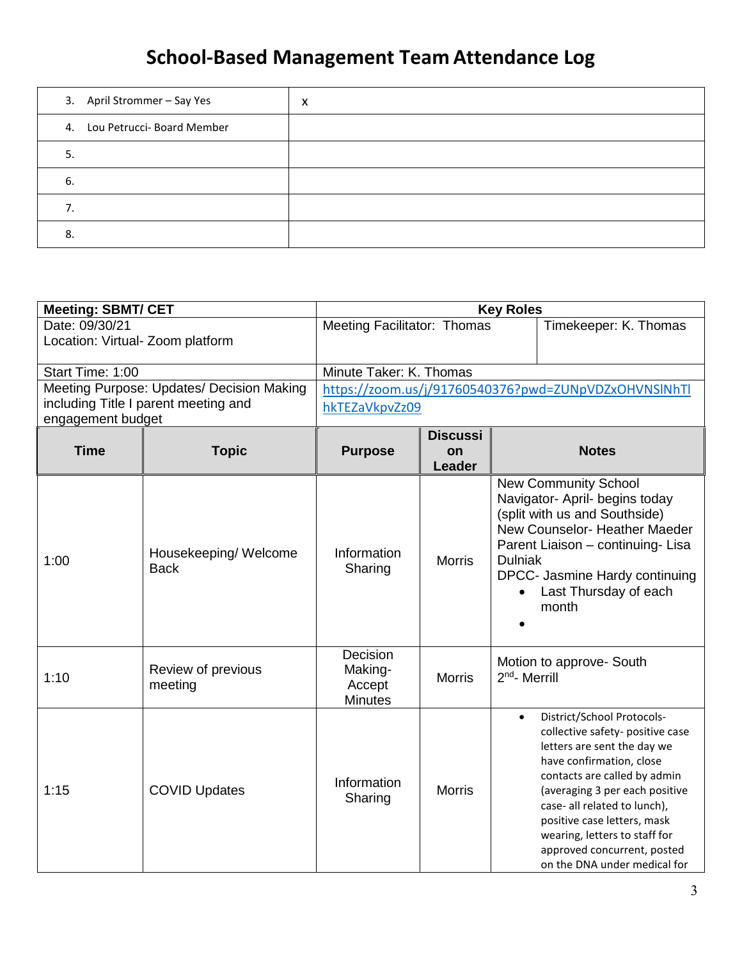| 3. April Strommer - Say Yes   | X |
|-------------------------------|---|
| 4. Lou Petrucci- Board Member |   |
| 5.                            |   |
| 6.                            |   |
|                               |   |
| 8.                            |   |

| <b>Meeting: SBMT/ CET</b>        |                                           |                                                 |                                 | <b>Key Roles</b>          |                                                                                                                                                                                                                                                                                                                                                            |
|----------------------------------|-------------------------------------------|-------------------------------------------------|---------------------------------|---------------------------|------------------------------------------------------------------------------------------------------------------------------------------------------------------------------------------------------------------------------------------------------------------------------------------------------------------------------------------------------------|
| Date: 09/30/21                   |                                           | <b>Meeting Facilitator: Thomas</b>              |                                 |                           | Timekeeper: K. Thomas                                                                                                                                                                                                                                                                                                                                      |
| Location: Virtual- Zoom platform |                                           |                                                 |                                 |                           |                                                                                                                                                                                                                                                                                                                                                            |
| Start Time: 1:00                 |                                           | Minute Taker: K. Thomas                         |                                 |                           |                                                                                                                                                                                                                                                                                                                                                            |
|                                  | Meeting Purpose: Updates/ Decision Making |                                                 |                                 |                           | https://zoom.us/j/91760540376?pwd=ZUNpVDZxOHVNSlNhTl                                                                                                                                                                                                                                                                                                       |
|                                  | including Title I parent meeting and      | hkTEZaVkpvZz09                                  |                                 |                           |                                                                                                                                                                                                                                                                                                                                                            |
| engagement budget                |                                           |                                                 |                                 |                           |                                                                                                                                                                                                                                                                                                                                                            |
| <b>Time</b>                      | <b>Topic</b>                              | <b>Purpose</b>                                  | <b>Discussi</b><br>on<br>Leader |                           | <b>Notes</b>                                                                                                                                                                                                                                                                                                                                               |
| 1:00                             | Housekeeping/Welcome<br><b>Back</b>       | Information<br>Sharing                          | <b>Morris</b>                   | <b>Dulniak</b>            | <b>New Community School</b><br>Navigator- April- begins today<br>(split with us and Southside)<br>New Counselor- Heather Maeder<br>Parent Liaison - continuing- Lisa<br>DPCC- Jasmine Hardy continuing<br>Last Thursday of each<br>month                                                                                                                   |
| 1:10                             | Review of previous<br>meeting             | Decision<br>Making-<br>Accept<br><b>Minutes</b> | <b>Morris</b>                   | 2 <sup>nd</sup> - Merrill | Motion to approve- South                                                                                                                                                                                                                                                                                                                                   |
| 1:15                             | <b>COVID Updates</b>                      | Information<br>Sharing                          | <b>Morris</b>                   | $\bullet$                 | District/School Protocols-<br>collective safety- positive case<br>letters are sent the day we<br>have confirmation, close<br>contacts are called by admin<br>(averaging 3 per each positive<br>case- all related to lunch),<br>positive case letters, mask<br>wearing, letters to staff for<br>approved concurrent, posted<br>on the DNA under medical for |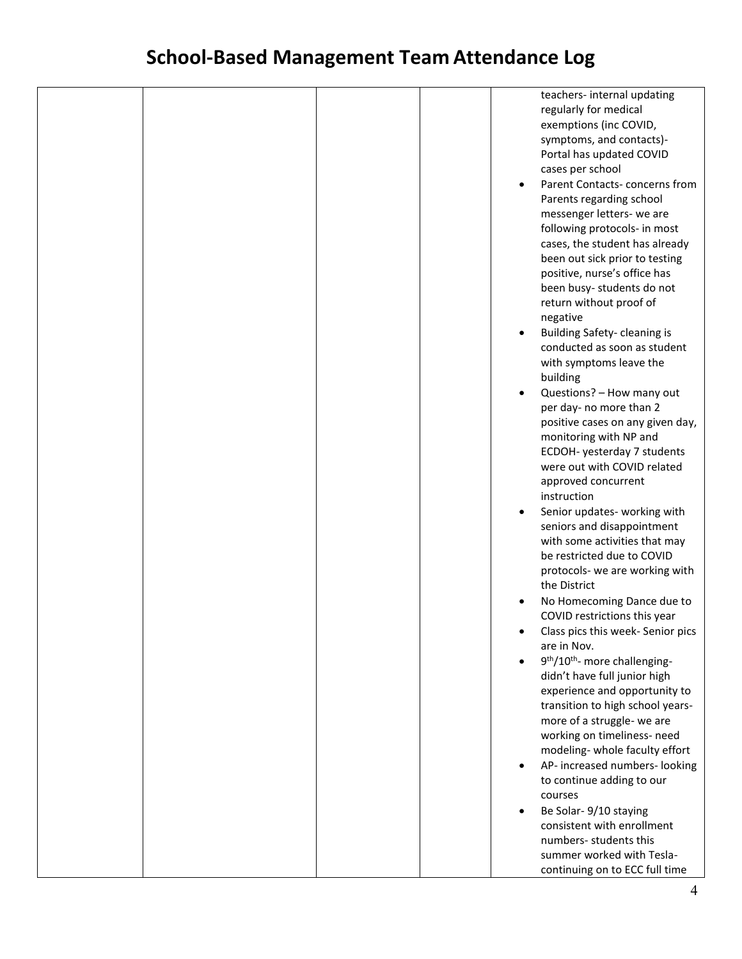|  |  |           | teachers-internal updating                            |
|--|--|-----------|-------------------------------------------------------|
|  |  |           | regularly for medical                                 |
|  |  |           |                                                       |
|  |  |           | exemptions (inc COVID,                                |
|  |  |           | symptoms, and contacts)-                              |
|  |  |           | Portal has updated COVID                              |
|  |  |           | cases per school                                      |
|  |  |           |                                                       |
|  |  | $\bullet$ | Parent Contacts-concerns from                         |
|  |  |           | Parents regarding school                              |
|  |  |           | messenger letters- we are                             |
|  |  |           | following protocols- in most                          |
|  |  |           | cases, the student has already                        |
|  |  |           |                                                       |
|  |  |           | been out sick prior to testing                        |
|  |  |           | positive, nurse's office has                          |
|  |  |           | been busy-students do not                             |
|  |  |           | return without proof of                               |
|  |  |           | negative                                              |
|  |  |           |                                                       |
|  |  |           | Building Safety- cleaning is                          |
|  |  |           | conducted as soon as student                          |
|  |  |           | with symptoms leave the                               |
|  |  |           | building                                              |
|  |  | $\bullet$ | Questions? - How many out                             |
|  |  |           |                                                       |
|  |  |           | per day- no more than 2                               |
|  |  |           | positive cases on any given day,                      |
|  |  |           | monitoring with NP and                                |
|  |  |           | ECDOH- yesterday 7 students                           |
|  |  |           | were out with COVID related                           |
|  |  |           |                                                       |
|  |  |           | approved concurrent                                   |
|  |  |           | instruction                                           |
|  |  | $\bullet$ | Senior updates- working with                          |
|  |  |           | seniors and disappointment                            |
|  |  |           | with some activities that may                         |
|  |  |           | be restricted due to COVID                            |
|  |  |           |                                                       |
|  |  |           | protocols- we are working with                        |
|  |  |           | the District                                          |
|  |  | $\bullet$ | No Homecoming Dance due to                            |
|  |  |           | COVID restrictions this year                          |
|  |  |           |                                                       |
|  |  |           | Class pics this week- Senior pics                     |
|  |  |           | are in Nov.                                           |
|  |  |           | 9 <sup>th</sup> /10 <sup>th</sup> - more challenging- |
|  |  |           | didn't have full junior high                          |
|  |  |           | experience and opportunity to                         |
|  |  |           |                                                       |
|  |  |           | transition to high school years-                      |
|  |  |           | more of a struggle- we are                            |
|  |  |           | working on timeliness- need                           |
|  |  |           | modeling-whole faculty effort                         |
|  |  | $\bullet$ | AP- increased numbers- looking                        |
|  |  |           |                                                       |
|  |  |           | to continue adding to our                             |
|  |  |           | courses                                               |
|  |  | $\bullet$ | Be Solar- 9/10 staying                                |
|  |  |           | consistent with enrollment                            |
|  |  |           | numbers-students this                                 |
|  |  |           |                                                       |
|  |  |           | summer worked with Tesla-                             |
|  |  |           | continuing on to ECC full time                        |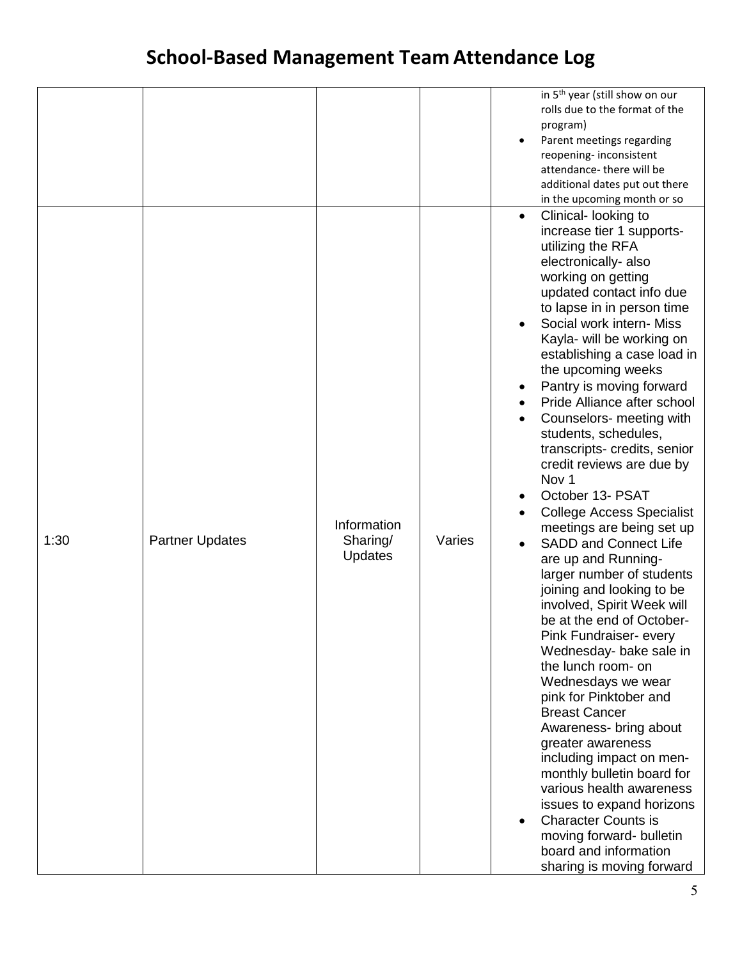|      |                        |                                    |        | in 5 <sup>th</sup> year (still show on our<br>rolls due to the format of the<br>program)<br>Parent meetings regarding<br>$\bullet$<br>reopening-inconsistent<br>attendance-there will be<br>additional dates put out there<br>in the upcoming month or so                                                                                                                                                                                                                                                                                                                                                                                                                                                                                                                                                                                                                                                                                                                                                                                                                                                                                                                                                                                              |
|------|------------------------|------------------------------------|--------|--------------------------------------------------------------------------------------------------------------------------------------------------------------------------------------------------------------------------------------------------------------------------------------------------------------------------------------------------------------------------------------------------------------------------------------------------------------------------------------------------------------------------------------------------------------------------------------------------------------------------------------------------------------------------------------------------------------------------------------------------------------------------------------------------------------------------------------------------------------------------------------------------------------------------------------------------------------------------------------------------------------------------------------------------------------------------------------------------------------------------------------------------------------------------------------------------------------------------------------------------------|
| 1:30 | <b>Partner Updates</b> | Information<br>Sharing/<br>Updates | Varies | Clinical- looking to<br>$\bullet$<br>increase tier 1 supports-<br>utilizing the RFA<br>electronically- also<br>working on getting<br>updated contact info due<br>to lapse in in person time<br>Social work intern- Miss<br>$\bullet$<br>Kayla- will be working on<br>establishing a case load in<br>the upcoming weeks<br>Pantry is moving forward<br>Pride Alliance after school<br>Counselors- meeting with<br>students, schedules,<br>transcripts- credits, senior<br>credit reviews are due by<br>Nov <sub>1</sub><br>October 13- PSAT<br>$\bullet$<br><b>College Access Specialist</b><br>meetings are being set up<br><b>SADD and Connect Life</b><br>$\bullet$<br>are up and Running-<br>larger number of students<br>joining and looking to be<br>involved, Spirit Week will<br>be at the end of October-<br>Pink Fundraiser- every<br>Wednesday- bake sale in<br>the lunch room- on<br>Wednesdays we wear<br>pink for Pinktober and<br><b>Breast Cancer</b><br>Awareness- bring about<br>greater awareness<br>including impact on men-<br>monthly bulletin board for<br>various health awareness<br>issues to expand horizons<br><b>Character Counts is</b><br>moving forward- bulletin<br>board and information<br>sharing is moving forward |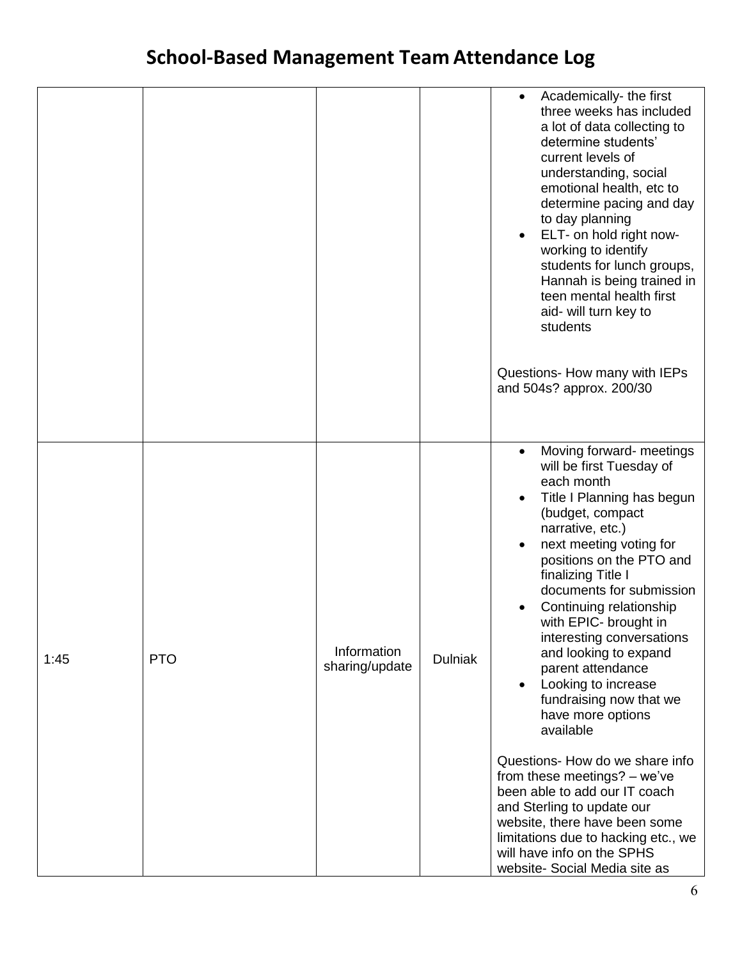|      |            |                               |                | Academically-the first<br>$\bullet$<br>three weeks has included<br>a lot of data collecting to<br>determine students'<br>current levels of<br>understanding, social<br>emotional health, etc to<br>determine pacing and day<br>to day planning<br>ELT- on hold right now-<br>$\bullet$<br>working to identify<br>students for lunch groups,<br>Hannah is being trained in<br>teen mental health first<br>aid- will turn key to<br>students<br>Questions- How many with IEPs<br>and 504s? approx. 200/30                                                                                                                                                                                                                                                                                           |
|------|------------|-------------------------------|----------------|---------------------------------------------------------------------------------------------------------------------------------------------------------------------------------------------------------------------------------------------------------------------------------------------------------------------------------------------------------------------------------------------------------------------------------------------------------------------------------------------------------------------------------------------------------------------------------------------------------------------------------------------------------------------------------------------------------------------------------------------------------------------------------------------------|
| 1:45 | <b>PTO</b> | Information<br>sharing/update | <b>Dulniak</b> | Moving forward- meetings<br>$\bullet$<br>will be first Tuesday of<br>each month<br>Title I Planning has begun<br>$\bullet$<br>(budget, compact<br>narrative, etc.)<br>next meeting voting for<br>$\bullet$<br>positions on the PTO and<br>finalizing Title I<br>documents for submission<br>Continuing relationship<br>with EPIC- brought in<br>interesting conversations<br>and looking to expand<br>parent attendance<br>Looking to increase<br>$\bullet$<br>fundraising now that we<br>have more options<br>available<br>Questions- How do we share info<br>from these meetings? - we've<br>been able to add our IT coach<br>and Sterling to update our<br>website, there have been some<br>limitations due to hacking etc., we<br>will have info on the SPHS<br>website- Social Media site as |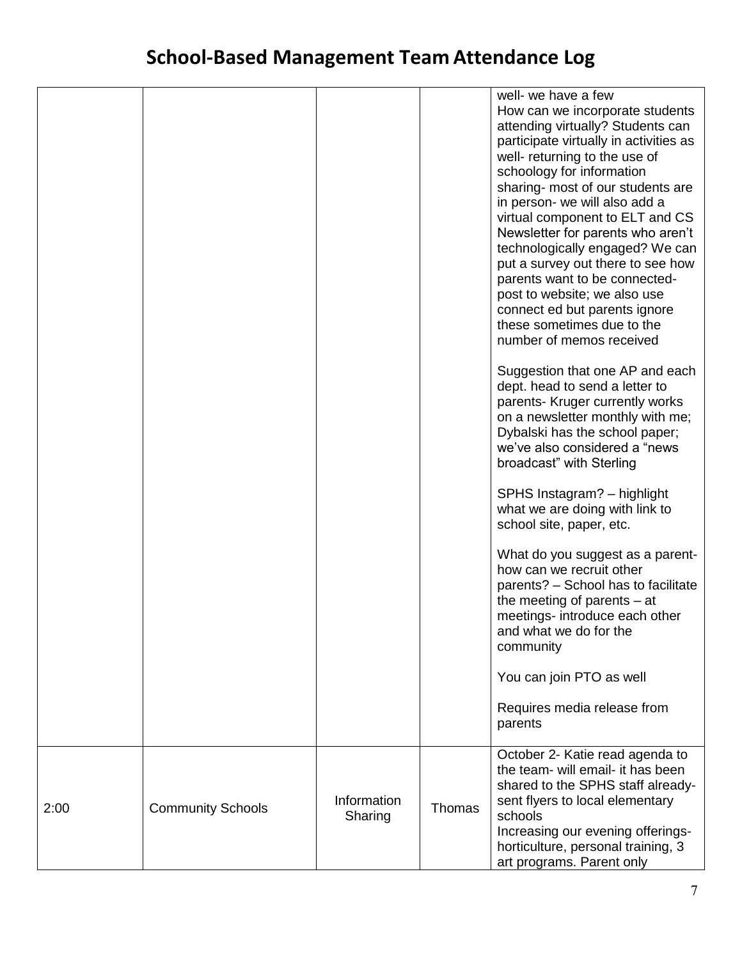|      |                          |                        |        | well- we have a few<br>How can we incorporate students<br>attending virtually? Students can<br>participate virtually in activities as<br>well- returning to the use of<br>schoology for information<br>sharing- most of our students are<br>in person- we will also add a<br>virtual component to ELT and CS<br>Newsletter for parents who aren't<br>technologically engaged? We can<br>put a survey out there to see how<br>parents want to be connected-<br>post to website; we also use<br>connect ed but parents ignore<br>these sometimes due to the<br>number of memos received<br>Suggestion that one AP and each<br>dept. head to send a letter to<br>parents- Kruger currently works<br>on a newsletter monthly with me;<br>Dybalski has the school paper;<br>we've also considered a "news"<br>broadcast" with Sterling<br>SPHS Instagram? - highlight<br>what we are doing with link to<br>school site, paper, etc.<br>What do you suggest as a parent-<br>how can we recruit other<br>parents? - School has to facilitate<br>the meeting of parents $-$ at<br>meetings- introduce each other<br>and what we do for the<br>community<br>You can join PTO as well<br>Requires media release from<br>parents |
|------|--------------------------|------------------------|--------|-----------------------------------------------------------------------------------------------------------------------------------------------------------------------------------------------------------------------------------------------------------------------------------------------------------------------------------------------------------------------------------------------------------------------------------------------------------------------------------------------------------------------------------------------------------------------------------------------------------------------------------------------------------------------------------------------------------------------------------------------------------------------------------------------------------------------------------------------------------------------------------------------------------------------------------------------------------------------------------------------------------------------------------------------------------------------------------------------------------------------------------------------------------------------------------------------------------------------|
| 2:00 | <b>Community Schools</b> | Information<br>Sharing | Thomas | October 2- Katie read agenda to<br>the team- will email- it has been<br>shared to the SPHS staff already-<br>sent flyers to local elementary<br>schools<br>Increasing our evening offerings-<br>horticulture, personal training, 3<br>art programs. Parent only                                                                                                                                                                                                                                                                                                                                                                                                                                                                                                                                                                                                                                                                                                                                                                                                                                                                                                                                                       |